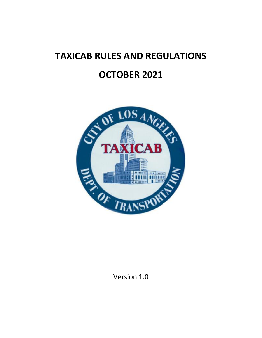# **TAXICAB RULES AND REGULATIONS OCTOBER 2021**



Version 1.0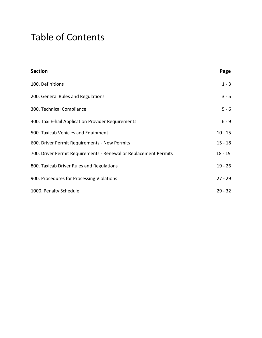## Table of Contents

| <b>Section</b>                                                   | Page      |
|------------------------------------------------------------------|-----------|
| 100. Definitions                                                 | $1 - 3$   |
| 200. General Rules and Regulations                               | $3 - 5$   |
| 300. Technical Compliance                                        | $5 - 6$   |
| 400. Taxi E-hail Application Provider Requirements               | $6 - 9$   |
| 500. Taxicab Vehicles and Equipment                              | $10 - 15$ |
| 600. Driver Permit Requirements - New Permits                    | $15 - 18$ |
| 700. Driver Permit Requirements - Renewal or Replacement Permits | $18 - 19$ |
| 800. Taxicab Driver Rules and Regulations                        | $19 - 26$ |
| 900. Procedures for Processing Violations                        | $27 - 29$ |
| 1000. Penalty Schedule                                           | $29 - 32$ |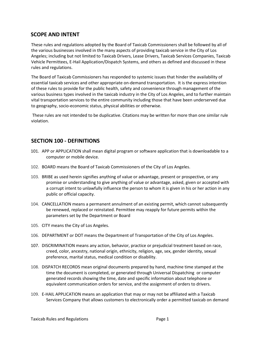## **SCOPE AND INTENT**

These rules and regulations adopted by the Board of Taxicab Commissioners shall be followed by all of the various businesses involved in the many aspects of providing taxicab service in the City of Los Angeles; including but not limited to Taxicab Drivers, Lease Drivers, Taxicab Services Companies, Taxicab Vehicle Permittees, E-Hail Application/Dispatch Systems, and others as defined and discussed in these rules and regulations.

The Board of Taxicab Commissioners has responded to systemic issues that hinder the availability of essential taxicab services and other appropriate on-demand transportation. It is the express intention of these rules to provide for the public health, safety and convenience through management of the various business types involved in the taxicab industry in the City of Los Angeles, and to further maintain vital transportation services to the entire community including those that have been underserved due to geography, socio-economic status, physical abilities or otherwise.

These rules are not intended to be duplicative. Citations may be written for more than one similar rule violation.

## **SECTION 100 - DEFINITIONS**

- 101. APP or APPLICATION shall mean digital program or software application that is downloadable to a computer or mobile device.
- 102. BOARD means the Board of Taxicab Commissioners of the City of Los Angeles.
- 103. BRIBE as used herein signifies anything of value or advantage, present or prospective, or any promise or understanding to give anything of value or advantage, asked, given or accepted with a corrupt intent to unlawfully influence the person to whom it is given in his or her action in any public or official capacity.
- 104. CANCELLATION means a permanent annulment of an existing permit, which cannot subsequently be renewed, replaced or reinstated. Permittee may reapply for future permits within the parameters set by the Department or Board
- 105. CITY means the City of Los Angeles.
- 106. DEPARTMENT or DOT means the Department of Transportation of the City of Los Angeles.
- 107. DISCRIMINATION means any action, behavior, practice or prejudicial treatment based on race, creed, color, ancestry, national origin, ethnicity, religion, age, sex, gender identity, sexual preference, marital status, medical condition or disability.
- 108. DISPATCH RECORDS mean original documents prepared by hand, machine time stamped at the time the document is completed, or generated through Universal Dispatching or computer generated records showing the time, date and specific information about telephone or equivalent communication orders for service, and the assignment of orders to drivers.
- 109. E-HAIL APPLICATION means an application that may or may not be affiliated with a Taxicab Services Company that allows customers to electronically order a permitted taxicab on demand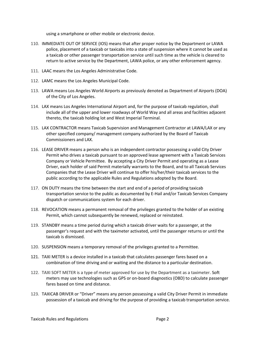using a smartphone or other mobile or electronic device.

- 110. IMMEDIATE OUT OF SERVICE (IOS) means that after proper notice by the Department or LAWA police, placement of a taxicab or taxicabs into a state of suspension where it cannot be used as a taxicab or other passenger transportation service until such time as the vehicle is cleared to return to active service by the Department, LAWA police, or any other enforcement agency.
- 111. LAAC means the Los Angeles Administrative Code.
- 112. LAMC means the Los Angeles Municipal Code.
- 113. LAWA means Los Angeles World Airports as previously denoted as Department of Airports (DOA) of the City of Los Angeles.
- 114. LAX means Los Angeles International Airport and, for the purpose of taxicab regulation, shall include all of the upper and lower roadways of World Way and all areas and facilities adjacent thereto, the taxicab holding lot and West Imperial Terminal.
- 115. LAX CONTRACTOR means Taxicab Supervision and Management Contractor at LAWA/LAX or any other specified company/ management company authorized by the Board of Taxicab Commissioners and LAX.
- 116. LEASE DRIVER means a person who is an independent contractor possessing a valid City Driver Permit who drives a taxicab pursuant to an approved lease agreement with a Taxicab Services Company or Vehicle Permittee. By accepting a City Driver Permit and operating as a Lease Driver, each holder of said Permit materially warrants to the Board, and to all Taxicab Services Companies that the Lease Driver will continue to offer his/her/their taxicab services to the public according to the applicable Rules and Regulations adopted by the Board.
- 117. ON DUTY means the time between the start and end of a period of providing taxicab transportation service to the public as documented by E-Hail and/or Taxicab Services Company dispatch or communications system for each driver.
- 118. REVOCATION means a permanent removal of the privileges granted to the holder of an existing Permit, which cannot subsequently be renewed, replaced or reinstated.
- 119. STANDBY means a time period during which a taxicab driver waits for a passenger, at the passenger's request and with the taximeter activated, until the passenger returns or until the taxicab is dismissed.
- 120. SUSPENSION means a temporary removal of the privileges granted to a Permittee.
- 121. TAXI METER is a device installed in a taxicab that calculates passenger fares based on a combination of time driving and or waiting and the distance to a particular destination.
- 122. TAXI SOFT METER is a type of meter approved for use by the Department as a taximeter. Soft meters may use technologies such as GPS or on-board diagnostics (OBD) to calculate passenger fares based on time and distance.
- 123. TAXICAB DRIVER or "Driver" means any person possessing a valid City Driver Permit in immediate possession of a taxicab and driving for the purpose of providing a taxicab transportation service.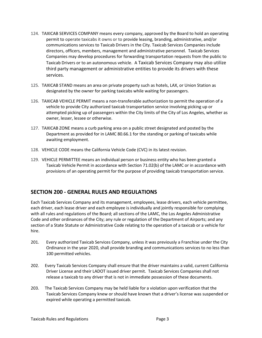- 124. TAXICAB SERVICES COMPANY means every company, approved by the Board to hold an operating permit to operate taxicabs it owns or to provide leasing, branding, administrative, and/or communications services to Taxicab Drivers in the City. Taxicab Services Companies include directors, officers, members, management and administrative personnel. Taxicab Services Companies may develop procedures for forwarding transportation requests from the public to Taxicab Drivers or to an autonomous vehicle. A Taxicab Services Company may also utilize third party management or administrative entities to provide its drivers with these services.
- 125. TAXICAB STAND means an area on private property such as hotels, LAX, or Union Station as designated by the owner for parking taxicabs while waiting for passengers.
- 126. TAXICAB VEHICLE PERMIT means a non-transferable authorization to permit the operation of a vehicle to provide City authorized taxicab transportation service involving picking up or attempted picking up of passengers within the City limits of the City of Los Angeles, whether as owner, lesser, lessee or otherwise.
- 127. TAXICAB ZONE means a curb parking area on a public street designated and posted by the Department as provided for in LAMC 80.66.1 for the standing or parking of taxicabs while awaiting employment.
- 128. VEHICLE CODE means the California Vehicle Code (CVC) in its latest revision.
- 129. VEHICLE PERMITTEE means an individual person or business entity who has been granted a Taxicab Vehicle Permit in accordance with Section 71.02(b) of the LAMC or in accordance with provisions of an operating permit for the purpose of providing taxicab transportation service.

## **SECTION 200 - GENERAL RULES AND REGULATIONS**

Each Taxicab Services Company and its management, employees, lease drivers, each vehicle permittee, each driver, each lease driver and each employee is individually and jointly responsible for complying with all rules and regulations of the Board; all sections of the LAMC, the Los Angeles Administrative Code and other ordinances of the City; any rule or regulation of the Department of Airports; and any section of a State Statute or Administrative Code relating to the operation of a taxicab or a vehicle for hire.

- 201. Every authorized Taxicab Services Company, unless it was previously a Franchise under the City Ordinance in the year 2020, shall provide branding and communications services to no less than 100 permitted vehicles.
- 202. Every Taxicab Services Company shall ensure that the driver maintains a valid, current California Driver License and their LADOT issued driver permit. Taxicab Services Companies shall not release a taxicab to any driver that is not in immediate possession of these documents.
- 203. The Taxicab Services Company may be held liable for a violation upon verification that the Taxicab Services Company knew or should have known that a driver's license was suspended or expired while operating a permitted taxicab.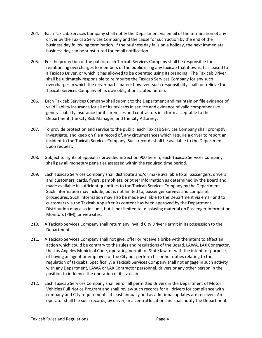- 204. Each Taxicab Services Company shall notify the Department via email of the termination of any driver by the Taxicab Services Company and the cause for such action by the end of the business day following termination. If the business day falls on a holiday, the next immediate business day can be substituted for email notification.
- 205. For the protection of the public, each Taxicab Services Company shall be responsible for reimbursing overcharges to members of the public using any taxicab that it owns, has leased to a Taxicab Driver, or which it has allowed to be operated using its branding. The Taxicab Driver shall be ultimately responsible to reimburse the Taxicab Services Company for any such overcharges in which the driver participated; however, such responsibility shall not relieve the Taxicab Services Company of its own obligations stated herein.
- 206. Each Taxicab Services Company shall submit to the Department and maintain on file evidence of valid liability insurance for all of its taxicabs in service and evidence of valid comprehensive general liability insurance for its premises and contractors in a form acceptable to the Department, the City Risk Manager, and the City Attorney.
- 207. To provide protection and service to the public, each Taxicab Services Company shall promptly investigate, and keep on file a record of, any circumstances which require a driver to report an incident to the Taxicab Services Company. Such records shall be available to the Department upon request.
- 208. Subject to rights of appeal as provided in Section 900 herein, each Taxicab Services Company shall pay all monetary penalties assessed within the required time period.
- 209. Each Taxicab Services Company shall distribute and/or make available to all passengers, drivers and customers; cards, flyers, pamphlets, or other information as determined by the Board and made available in sufficient quantities to the Taxicab Services Company by the Department. Such information may include, but is not limited to, passenger surveys and complaint procedures. Such information may also be made available to the Department via email and to customers via the Taxicab App after its content has been approved by the Department. Distribution may also include, but is not limited to, displaying material on Passenger Information Monitors (PIM), or web sites.
- 210. A Taxicab Services Company shall return any invalid City Driver Permit in its possession to the Department.
- 211. A Taxicab Services Company shall not give, offer or receive a bribe with the intent to affect an action which could be contrary to the rules and regulations of the Board, LAWA, LAX Contractor, the Los Angeles Municipal Code, operating permit, or State law, or with the intent, or purpose, of having an agent or employee of the City not perform his or her duties relating to the regulation of taxicabs. Specifically, a Taxicab Services Company shall not engage in such activity with any Department, LAWA or LAX Contractor personnel, drivers or any other person in the position to influence the operation of its taxicab.
- 212. Each Taxicab Services Company shall enroll all permitted drivers in the Department of Motor Vehicles Pull Notice Program and shall review such records for all drivers for compliance with company and City requirements at least annually and as additional updates are received. An operator shall file such records, by driver, in a central location and shall notify the Department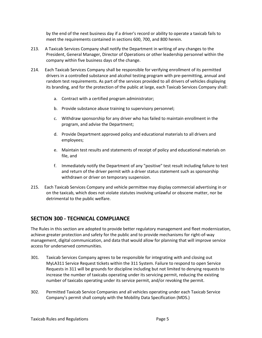by the end of the next business day if a driver's record or ability to operate a taxicab fails to meet the requirements contained in sections 600, 700, and 800 herein.

- 213. A Taxicab Services Company shall notify the Department in writing of any changes to the President, General Manager, Director of Operations or other leadership personnel within the company within five business days of the change.
- 214. Each Taxicab Services Company shall be responsible for verifying enrollment of its permitted drivers in a controlled substance and alcohol testing program with pre-permitting, annual and random test requirements. As part of the services provided to all drivers of vehicles displaying its branding, and for the protection of the public at large, each Taxicab Services Company shall:
	- a. Contract with a certified program administrator;
	- b. Provide substance abuse training to supervisory personnel;
	- c. Withdraw sponsorship for any driver who has failed to maintain enrollment in the program, and advise the Department;
	- d. Provide Department approved policy and educational materials to all drivers and employees;
	- e. Maintain test results and statements of receipt of policy and educational materials on file, and
	- f. Immediately notify the Department of any "positive" test result including failure to test and return of the driver permit with a driver status statement such as sponsorship withdrawn or driver on temporary suspension.
- 215. Each Taxicab Services Company and vehicle permittee may display commercial advertising in or on the taxicab, which does not violate statutes involving unlawful or obscene matter, nor be detrimental to the public welfare.

## **SECTION 300 - TECHNICAL COMPLIANCE**

The Rules in this section are adopted to provide better regulatory management and fleet modernization, achieve greater protection and safety for the public and to provide mechanisms for right-of-way management, digital communication, and data that would allow for planning that will improve service access for underserved communities.

- 301. Taxicab Services Company agrees to be responsible for integrating with and closing out MyLA311 Service Request tickets within the 311 System. Failure to respond to open Service Requests in 311 will be grounds for discipline including but not limited to denying requests to increase the number of taxicabs operating under its servicing permit, reducing the existing number of taxicabs operating under its service permit, and/or revoking the permit.
- 302. Permitted Taxicab Service Companies and all vehicles operating under each Taxicab Service Company's permit shall comply with the Mobility Data Specification (MDS.)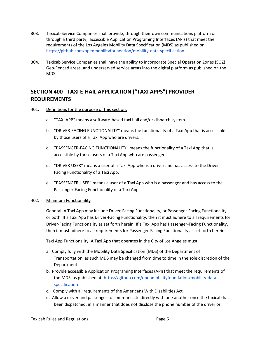- 303. Taxicab Service Companies shall provide, through their own communications platform or through a third party, accessible Application Programing Interfaces (APIs) that meet the requirements of the Los Angeles Mobility Data Specification (MDS) as published o[n](https://github.com/openmobilityfoundation/mobility-data-specification) <https://github.com/openmobilityfoundation/mobility-data-specification>
- 304. Taxicab Service Companies shall have the ability to incorporate Special Operation Zones (SOZ), Geo-Fenced areas, and underserved service areas into the digital platform as published on the MDS.

## **SECTION 400 - TAXI E-HAIL APPLICATION ("TAXI APPS") PROVIDER REQUIREMENTS**

- 401. Definitions for the purpose of this section:
	- a. "TAXI APP" means a software-based taxi hail and/or dispatch system.
	- b. "DRIVER-FACING FUNCTIONALITY" means the functionality of a Taxi App that is accessible by those users of a Taxi App who are drivers.
	- c. "PASSENGER-FACING FUNCTIONALITY" means the functionality of a Taxi App that is accessible by those users of a Taxi App who are passengers.
	- d. "DRIVER USER" means a user of a Taxi App who is a driver and has access to the Driver-Facing Functionality of a Taxi App.
	- e. "PASSENGER USER" means a user of a Taxi App who is a passenger and has access to the Passenger-Facing Functionality of a Taxi App.

#### 402. Minimum Functionality

General. A Taxi App may include Driver-Facing Functionality, or Passenger-Facing Functionality, or both. If a Taxi App has Driver-Facing Functionality, then it must adhere to all requirements for Driver-Facing Functionality as set forth herein. If a Taxi App has Passenger-Facing Functionality, then it must adhere to all requirements for Passenger-Facing Functionality as set forth herein:

Taxi App Functionality. A Taxi App that operates in the City of Los Angeles must:

- a. Comply fully with the Mobility Data Specification (MDS) of the Department of Transportation, as such MDS may be changed from time to time in the sole discretion of the Department.
- b. Provide accessible Application Programing Interfaces (APIs) that meet the requirements of the MDS, as published at: [https://github.com/openmobilityfoundation/mobility-data](https://github.com/openmobilityfoundation/mobility-data-specification)[specification](https://github.com/openmobilityfoundation/mobility-data-specification)
- c. Comply with all requirements of the Americans With Disabilities Act.
- d. Allow a driver and passenger to communicate directly with one another once the taxicab has been dispatched, in a manner that does not disclose the phone number of the driver or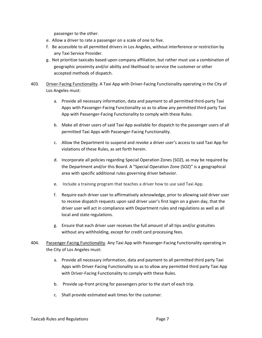passenger to the other.

- e. Allow a driver to rate a passenger on a scale of one to five.
- f. Be accessible to all permitted drivers in Los Angeles, without interference or restriction by any Taxi Service Provider.
- g. Not prioritize taxicabs based upon company affiliation, but rather must use a combination of geographic proximity and/or ability and likelihood to service the customer or other accepted methods of dispatch.
- 403. Driver-Facing Functionality. A Taxi App with Driver-Facing Functionality operating in the City of Los Angeles must:
	- a. Provide all necessary information, data and payment to all permitted third-party Taxi Apps with Passenger-Facing Functionality so as to allow any permitted third party Taxi App with Passenger-Facing Functionality to comply with these Rules.
	- b. Make all driver users of said Taxi App available for dispatch to the passenger users of all permitted Taxi Apps with Passenger-Facing Functionality.
	- c. Allow the Department to suspend and revoke a driver user's access to said Taxi App for violations of these Rules, as set forth herein.
	- d. Incorporate all policies regarding Special Operation Zones (SOZ), as may be required by the Department and/or this Board. A "Special Operation Zone (SOZ)" is a geographical area with specific additional rules governing driver behavior.
	- e. Include a training program that teaches a driver how to use said Taxi App.
	- f. Require each driver user to affirmatively acknowledge, prior to allowing said driver user to receive dispatch requests upon said driver user's first login on a given day, that the driver user will act in compliance with Department rules and regulations as well as all local and state regulations.
	- g. Ensure that each driver user receives the full amount of all tips and/or gratuities without any withholding, except for credit card processing fees.
- 404. Passenger-Facing Functionality. Any Taxi App with Passenger-Facing Functionality operating in the City of Los Angeles must:
	- a. Provide all necessary information, data and payment to all permitted third party Taxi Apps with Driver-Facing Functionality so as to allow any permitted third party Taxi App with Driver-Facing Functionality to comply with these Rules.
	- b. Provide up-front pricing for passengers prior to the start of each trip.
	- c. Shall provide estimated wait times for the customer.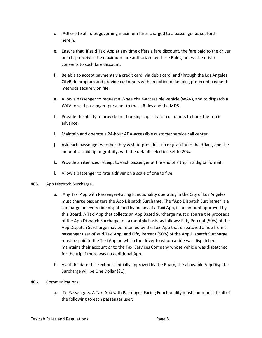- d. Adhere to all rules governing maximum fares charged to a passenger as set forth herein.
- e. Ensure that, if said Taxi App at any time offers a fare discount, the fare paid to the driver on a trip receives the maximum fare authorized by these Rules, unless the driver consents to such fare discount.
- f. Be able to accept payments via credit card, via debit card, and through the Los Angeles CityRide program and provide customers with an option of keeping preferred payment methods securely on file.
- g. Allow a passenger to request a Wheelchair-Accessible Vehicle (WAV), and to dispatch a WAV to said passenger, pursuant to these Rules and the MDS.
- h. Provide the ability to provide pre-booking capacity for customers to book the trip in advance.
- i. Maintain and operate a 24-hour ADA-accessible customer service call center.
- j. Ask each passenger whether they wish to provide a tip or gratuity to the driver, and the amount of said tip or gratuity, with the default selection set to 20%.
- k. Provide an itemized receipt to each passenger at the end of a trip in a digital format.
- l. Allow a passenger to rate a driver on a scale of one to five.

#### 405. App Dispatch Surcharge.

- a. Any Taxi App with Passenger-Facing Functionality operating in the City of Los Angeles must charge passengers the App Dispatch Surcharge. The "App Dispatch Surcharge" is a surcharge on every ride dispatched by means of a Taxi App, in an amount approved by this Board. A Taxi App that collects an App Based Surcharge must disburse the proceeds of the App Dispatch Surcharge, on a monthly basis, as follows: Fifty Percent (50%) of the App Dispatch Surcharge may be retained by the Taxi App that dispatched a ride from a passenger user of said Taxi App; and Fifty Percent (50%) of the App Dispatch Surcharge must be paid to the Taxi App on which the driver to whom a ride was dispatched maintains their account or to the Taxi Services Company whose vehicle was dispatched for the trip if there was no additional App.
- b. As of the date this Section is initially approved by the Board, the allowable App Dispatch Surcharge will be One Dollar (\$1).

#### 406. Communications.

a. To Passengers. A Taxi App with Passenger-Facing Functionality must communicate all of the following to each passenger user: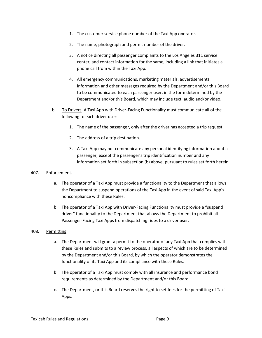- 1. The customer service phone number of the Taxi App operator.
- 2. The name, photograph and permit number of the driver.
- 3. A notice directing all passenger complaints to the Los Angeles 311 service center, and contact information for the same, including a link that initiates a phone call from within the Taxi App.
- 4. All emergency communications, marketing materials, advertisements, information and other messages required by the Department and/or this Board to be communicated to each passenger user, in the form determined by the Department and/or this Board, which may include text, audio and/or video.
- b. To Drivers. A Taxi App with Driver-Facing Functionality must communicate all of the following to each driver user:
	- 1. The name of the passenger, only after the driver has accepted a trip request.
	- 2. The address of a trip destination.
	- 3. A Taxi App may not communicate any personal identifying information about a passenger, except the passenger's trip identification number and any information set forth in subsection (b) above, pursuant to rules set forth herein.

#### 407. Enforcement.

- a. The operator of a Taxi App must provide a functionality to the Department that allows the Department to suspend operations of the Taxi App in the event of said Taxi App's noncompliance with these Rules.
- b. The operator of a Taxi App with Driver-Facing Functionality must provide a "suspend driver" functionality to the Department that allows the Department to prohibit all Passenger-Facing Taxi Apps from dispatching rides to a driver user.

#### 408. Permitting.

- a. The Department will grant a permit to the operator of any Taxi App that complies with these Rules and submits to a review process, all aspects of which are to be determined by the Department and/or this Board, by which the operator demonstrates the functionality of its Taxi App and its compliance with these Rules.
- b. The operator of a Taxi App must comply with all insurance and performance bond requirements as determined by the Department and/or this Board.
- c. The Department, or this Board reserves the right to set fees for the permitting of Taxi Apps.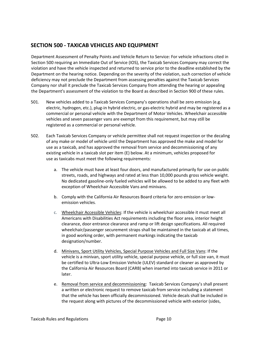## **SECTION 500 - TAXICAB VEHICLES AND EQUIPMENT**

Department Assessment of Penalty Points and Vehicle Return to Service: For vehicle infractions cited in Section 500 requiring an Immediate Out of Service (IOS), the Taxicab Services Company may correct the violation and have the vehicle inspected and returned to service prior to the deadline established by the Department on the hearing notice. Depending on the severity of the violation, such correction of vehicle deficiency may not preclude the Department from assessing penalties against the Taxicab Services Company nor shall it preclude the Taxicab Services Company from attending the hearing or appealing the Department's assessment of the violation to the Board as described in Section 900 of these rules.

- 501. New vehicles added to a Taxicab Services Company's operations shall be zero emission (e.g. electric, hydrogen, etc.), plug-in hybrid electric, or gas-electric hybrid and may be registered as a commercial or personal vehicle with the Department of Motor Vehicles. Wheelchair accessible vehicles and seven passenger vans are exempt from this requirement, but may still be registered as a commercial or personal vehicle.
- 502. Each Taxicab Services Company or vehicle permittee shall not request inspection or the decaling of any make or model of vehicle until the Department has approved the make and model for use as a taxicab, and has approved the removal from service and decommissioning of any existing vehicle in a taxicab slot per item (E) below. At a minimum, vehicles proposed for use as taxicabs must meet the following requirements:
	- a. The vehicle must have at least four doors, and manufactured primarily for use on public streets, roads, and highways and rated at less than 10,000 pounds gross vehicle weight. No dedicated gasoline-only fueled vehicles will be allowed to be added to any fleet with exception of Wheelchair Accessible Vans and minivans.
	- b. Comply with the California Air Resources Board criteria for zero emission or lowemission vehicles.
	- c. Wheelchair Accessible Vehicles: If the vehicle is wheelchair accessible it must meet all Americans with Disabilities Act requirements including the floor area, interior height clearance, door entrance clearance and ramp or lift design specifications. All required wheelchair/passenger securement straps shall be maintained in the taxicab at all times, in good working order, with permanent markings indicating the taxicab designation/number.
	- d. Minivans, Sport Utility Vehicles, Special Purpose Vehicles and Full Size Vans: If the vehicle is a minivan, sport utility vehicle, special purpose vehicle, or full size van, it must be certified to Ultra-Low Emission Vehicle (ULEV) standard or cleaner as approved by the California Air Resources Board (CARB) when inserted into taxicab service in 2011 or later.
	- e. Removal from service and decommissioning: Taxicab Services Company's shall present a written or electronic request to remove taxicab from service including a statement that the vehicle has been officially decommissioned. Vehicle decals shall be included in the request along with pictures of the decommissioned vehicle with exterior (sides,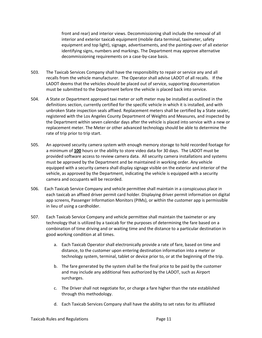front and rear) and interior views. Decommissioning shall include the removal of all interior and exterior taxicab equipment (mobile data terminal, taximeter, safety equipment and top light), signage, advertisements, and the painting-over of all exterior identifying signs, numbers and markings. The Department may approve alternative decommissioning requirements on a case-by-case basis.

- 503. The Taxicab Services Company shall have the responsibility to repair or service any and all recalls from the vehicle manufacturer. The Operator shall advise LADOT of all recalls. If the LADOT deems that the vehicles should be placed out of service, supporting documentation must be submitted to the Department before the vehicle is placed back into service.
- 504. A State or Department approved taxi meter or soft meter may be installed as outlined in the definitions section, currently certified for the specific vehicle in which it is installed, and with unbroken State inspection seals affixed. Replacement meters shall be certified by a State sealer, registered with the Los Angeles County Department of Weights and Measures, and inspected by the Department within seven calendar days after the vehicle is placed into service with a new or replacement meter. The Meter or other advanced technology should be able to determine the rate of trip prior to trip start.
- 505. An approved security camera system with enough memory storage to hold recorded footage for a minimum of **100** hours or the ability to store video data for 30 days. The LADOT must be provided software access to review camera data. All security camera installations and systems must be approved by the Department and be maintained in working order. Any vehicle equipped with a security camera shall display signage visible on the exterior and interior of the vehicle, as approved by the Department, indicating the vehicle is equipped with a security camera and occupants will be recorded.
- 506. Each Taxicab Service Company and vehicle permittee shall maintain in a conspicuous place in each taxicab an affixed driver permit card holder. Displaying driver permit information on digital app screens, Passenger Information Monitors (PIMs), or within the customer app is permissible in lieu of using a cardholder.
- 507. Each Taxicab Service Company and vehicle permittee shall maintain the taximeter or any technology that is utilized by a taxicab for the purposes of determining the fare based on a combination of time driving and or waiting time and the distance to a particular destination in good working condition at all times.
	- a. Each Taxicab Operator shall electronically provide a rate of fare, based on time and distance, to the customer upon entering destination information into a meter or technology system, terminal, tablet or device prior to, or at the beginning of the trip.
	- b. The fare generated by the system shall be the final price to be paid by the customer and may include any additional fees authorized by the LADOT, such as Airport surcharges.
	- c. The Driver shall not negotiate for, or charge a fare higher than the rate established through this methodology.
	- d. Each Taxicab Services Company shall have the ability to set rates for its affiliated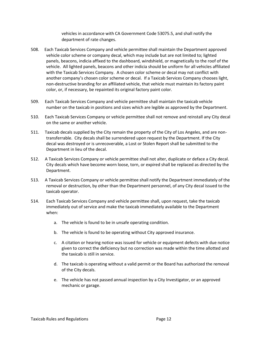vehicles in accordance with CA Government Code 53075.5, and shall notify the department of rate changes.

- 508. Each Taxicab Services Company and vehicle permittee shall maintain the Department approved vehicle color scheme or company decal, which may include but are not limited to; lighted panels, beacons, indicia affixed to the dashboard, windshield, or magnetically to the roof of the vehicle. All lighted panels, beacons and other indicia should be uniform for all vehicles affiliated with the Taxicab Services Company. A chosen color scheme or decal may not conflict with another company's chosen color scheme or decal. If a Taxicab Services Company chooses light, non-destructive branding for an affiliated vehicle, that vehicle must maintain its factory paint color, or, if necessary, be repainted its original factory paint color.
- 509. Each Taxicab Services Company and vehicle permittee shall maintain the taxicab vehicle number on the taxicab in positions and sizes which are legible as approved by the Department.
- 510. Each Taxicab Services Company or vehicle permittee shall not remove and reinstall any City decal on the same or another vehicle.
- 511. Taxicab decals supplied by the City remain the property of the City of Los Angeles, and are nontransferrable. City decals shall be surrendered upon request by the Department. If the City decal was destroyed or is unrecoverable, a Lost or Stolen Report shall be submitted to the Department in lieu of the decal.
- 512. A Taxicab Services Company or vehicle permittee shall not alter, duplicate or deface a City decal. City decals which have become worn loose, torn, or expired shall be replaced as directed by the Department.
- 513. A Taxicab Services Company or vehicle permittee shall notify the Department immediately of the removal or destruction, by other than the Department personnel, of any City decal issued to the taxicab operator.
- 514. Each Taxicab Services Company and vehicle permittee shall, upon request, take the taxicab immediately out of service and make the taxicab immediately available to the Department when:
	- a. The vehicle is found to be in unsafe operating condition.
	- b. The vehicle is found to be operating without City approved insurance.
	- c. A citation or hearing notice was issued for vehicle or equipment defects with due notice given to correct the deficiency but no correction was made within the time allotted and the taxicab is still in service.
	- d. The taxicab is operating without a valid permit or the Board has authorized the removal of the City decals.
	- e. The vehicle has not passed annual inspection by a City Investigator, or an approved mechanic or garage.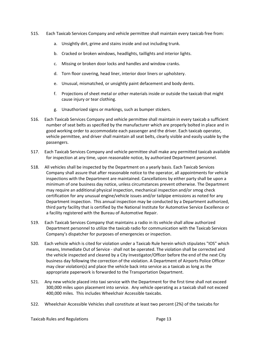- 515. Each Taxicab Services Company and vehicle permittee shall maintain every taxicab free from:
	- a. Unsightly dirt, grime and stains inside and out including trunk.
	- b. Cracked or broken windows, headlights, taillights and interior lights.
	- c. Missing or broken door locks and handles and window cranks.
	- d. Torn floor covering, head liner, interior door liners or upholstery.
	- e. Unusual, mismatched, or unsightly paint defacement and body dents.
	- f. Projections of sheet metal or other materials inside or outside the taxicab that might cause injury or tear clothing.
	- g. Unauthorized signs or markings, such as bumper stickers.
- 516. Each Taxicab Services Company and vehicle permittee shall maintain in every taxicab a sufficient number of seat belts as specified by the manufacturer which are properly bolted in place and in good working order to accommodate each passenger and the driver. Each taxicab operator, vehicle permittee, and driver shall maintain all seat belts, clearly visible and easily usable by the passengers.
- 517. Each Taxicab Services Company and vehicle permittee shall make any permitted taxicab available for inspection at any time, upon reasonable notice, by authorized Department personnel.
- 518. All vehicles shall be inspected by the Department on a yearly basis. Each Taxicab Services Company shall assure that after reasonable notice to the operator, all appointments for vehicle inspections with the Department are maintained. Cancellations by either party shall be upon a minimum of one business day notice, unless circumstances prevent otherwise. The Department may require an additional physical inspection, mechanical inspection and/or smog check certification for any unusual engine/vehicle issues and/or tailpipe emissions as noted for any Department inspection. This annual inspection may be conducted by a Department authorized, third party facility that is certified by the National Institute for Automotive Service Excellence or a facility registered with the Bureau of Automotive Repair.
- 519. Each Taxicab Services Company that maintains a radio in its vehicle shall allow authorized Department personnel to utilize the taxicab radio for communication with the Taxicab Services Company's dispatcher for purposes of emergencies or inspection.
- 520. Each vehicle which is cited for violation under a Taxicab Rule herein which stipulates "IOS" which means, Immediate Out of Service - shall not be operated. The violation shall be corrected and the vehicle inspected and cleared by a City Investigator/Officer before the end of the next City business day following the correction of the violation. A Department of Airports Police Officer may clear violation(s) and place the vehicle back into service as a taxicab as long as the appropriate paperwork is forwarded to the Transportation Department.
- 521. Any new vehicle placed into taxi service with the Department for the first time shall not exceed 300,000 miles upon placement into service. Any vehicle operating as a taxicab shall not exceed 400,000 miles. This includes Wheelchair Accessible taxicabs.
- 522. Wheelchair Accessible Vehicles shall constitute at least two percent (2%) of the taxicabs for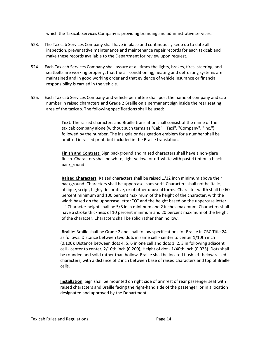which the Taxicab Services Company is providing branding and administrative services.

- 523. The Taxicab Services Company shall have in place and continuously keep up to date all inspection, preventative maintenance and maintenance repair records for each taxicab and make these records available to the Department for review upon request.
- 524. Each Taxicab Services Company shall assure at all times the lights, brakes, tires, steering, and seatbelts are working properly, that the air conditioning, heating and defrosting systems are maintained and in good working order and that evidence of vehicle insurance or financial responsibility is carried in the vehicle.
- 525. Each Taxicab Services Company and vehicle permittee shall post the name of company and cab number in raised characters and Grade 2 Braille on a permanent sign inside the rear seating area of the taxicab. The following specifications shall be used:

**Text**: The raised characters and Braille translation shall consist of the name of the taxicab company alone (without such terms as "Cab", "Taxi", "Company", "Inc.") followed by the number. The insignia or designation emblem for a number shall be omitted in raised print, but included in the Braille translation.

**Finish and Contrast:** Sign background and raised characters shall have a non-glare finish. Characters shall be white, light yellow, or off-white with pastel tint on a black background.

**Raised Characters**: Raised characters shall be raised 1/32 inch minimum above their background. Characters shall be uppercase, sans serif. Characters shall not be italic, oblique, script, highly decorative, or of other unusual forms. Character width shall be 60 percent minimum and 100 percent maximum of the height of the character, with the width based on the uppercase letter "O" and the height based on the uppercase letter "I" Character height shall be 5/8 inch minimum and 2 inches maximum. Characters shall have a stroke thickness of 10 percent minimum and 20 percent maximum of the height of the character. Characters shall be solid rather than hollow.

**Braille**: Braille shall be Grade 2 and shall follow specifications for Braille in CBC Title 24 as follows: Distance between two dots in same cell - center to center 1/10th inch (0.100); Distance between dots 4, 5, 6 in one cell and dots 1, 2, 3 in following adjacent cell - center to center, 2/10th inch (0.200); Height of dot - 1/40th inch (0.025). Dots shall be rounded and solid rather than hollow. Braille shall be located flush left below raised characters, with a distance of 2 inch between base of raised characters and top of Braille cells.

**Installation**: Sign shall be mounted on right side of armrest of rear passenger seat with raised characters and Braille facing the right-hand side of the passenger, or in a location designated and approved by the Department.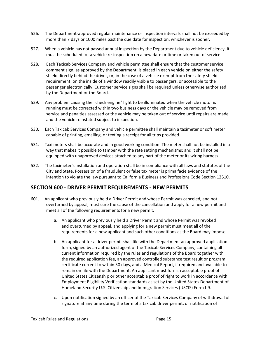- 526. The Department-approved regular maintenance or inspection intervals shall not be exceeded by more than 7 days or 1000 miles past the due date for inspection, whichever is sooner.
- 527. When a vehicle has not passed annual inspection by the Department due to vehicle deficiency, it must be scheduled for a vehicle re-inspection on a new date or time or taken out of service.
- 528. Each Taxicab Services Company and vehicle permittee shall ensure that the customer service comment sign, as approved by the Department, is placed in each vehicle on either the safety shield directly behind the driver, or, in the case of a vehicle exempt from the safety shield requirement, on the inside of a window readily visible to passengers, or accessible to the passenger electronically. Customer service signs shall be required unless otherwise authorized by the Department or the Board.
- 529. Any problem causing the "check engine" light to be illuminated when the vehicle motor is running must be corrected within two business days or the vehicle may be removed from service and penalties assessed or the vehicle may be taken out of service until repairs are made and the vehicle reinstated subject to inspection.
- 530. Each Taxicab Services Company and vehicle permittee shall maintain a taximeter or soft meter capable of printing, emailing, or texting a receipt for all trips provided.
- 531. Taxi meters shall be accurate and in good working condition. The meter shall not be installed in a way that makes it possible to tamper with the rate setting mechanisms; and it shall not be equipped with unapproved devices attached to any part of the meter or its wiring harness.
- 532. The taximeter's installation and operation shall be in compliance with all laws and statutes of the City and State. Possession of a fraudulent or false taximeter is prima facie evidence of the intention to violate the law pursuant to California Business and Professions Code Section 12510.

## **SECTION 600 - DRIVER PERMIT REQUIREMENTS - NEW PERMITS**

- 601. An applicant who previously held a Driver Permit and whose Permit was canceled, and not overturned by appeal, must cure the cause of the cancellation and apply for a new permit and meet all of the following requirements for a new permit.
	- a. An applicant who previously held a Driver Permit and whose Permit was revoked and overturned by appeal, and applying for a new permit must meet all of the requirements for a new applicant and such other conditions as the Board may impose.
	- b. An applicant for a driver permit shall file with the Department an approved application form, signed by an authorized agent of the Taxicab Services Company, containing all current information required by the rules and regulations of the Board together with the required application fee, an approved controlled substance test result or program certificate current to within 30 days, and a Medical Report, if required and available to remain on file with the Department. An applicant must furnish acceptable proof of United States Citizenship or other acceptable proof of right to work in accordance with Employment Eligibility Verification standards as set by the United States Department of Homeland Security U.S. Citizenship and Immigration Services (USCIS) Form I-9.
	- c. Upon notification signed by an officer of the Taxicab Services Company of withdrawal of signature at any time during the term of a taxicab driver permit, or notification of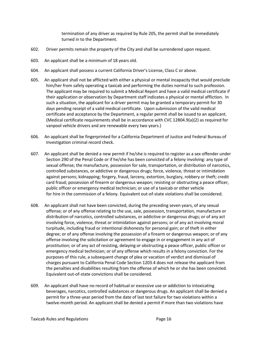termination of any driver as required by Rule 205, the permit shall be immediately turned in to the Department.

- 602. Driver permits remain the property of the City and shall be surrendered upon request.
- 603. An applicant shall be a minimum of 18 years old.
- 604. An applicant shall possess a current California Driver's License, Class C or above.
- 605. An applicant shall not be afflicted with either a physical or mental incapacity that would preclude him/her from safely operating a taxicab and performing the duties normal to such profession. The applicant may be required to submit a Medical Report and have a valid medical certificate if their application or observation by Department staff indicates a physical or mental affliction. In such a situation, the applicant for a driver permit may be granted a temporary permit for 30 days pending receipt of a valid medical certificate. Upon submission of the valid medical certificate and acceptance by the Department, a regular permit shall be issued to an applicant. (Medical certificate requirements shall be in accordance with CVC 12804.9(a)(2) as required for vanpool vehicle drivers and are renewable every two years.)
- 606. An applicant shall be fingerprinted for a California Department of Justice and Federal Bureau of Investigation criminal record check.
- 607. An applicant shall be denied a new permit if he/she is required to register as a sex offender under Section 290 of the Penal Code or if he/she has been convicted of a felony involving: any type of sexual offense; the manufacture, possession for sale, transportation, or distribution of narcotics, controlled substances, or addictive or dangerous drugs; force, violence, threat or intimidation against persons; kidnapping; forgery, fraud, larceny, extortion, burglary, robbery or theft; credit card fraud; possession of firearm or dangerous weapon; resisting or obstructing a peace officer, public officer or emergency medical technician; or use of a taxicab or other vehicle for hire in the commission of a felony. Equivalent out-of-state violations shall be considered.
- 608. An applicant shall not have been convicted, during the preceding seven years, of any sexual offense; or of any offense relating to the use, sale, possession, transportation, manufacture or distribution of narcotics, controlled substances, or addictive or dangerous drugs; or of any act involving force, violence, threat or intimidation against persons; or of any act involving moral turpitude, including fraud or intentional dishonesty for personal gain; or of theft in either degree; or of any offense involving the possession of a firearm or dangerous weapon; or of any offense involving the solicitation or agreement to engage in or engagement in any act of prostitution; or of any act of resisting, delaying or obstructing a peace officer, public officer or emergency medical technician; or of any offense which results in a felony conviction. For the purposes of this rule, a subsequent change of plea or vacation of verdict and dismissal of charges pursuant to California Penal Code Section 1203.4 does not release the applicant from the penalties and disabilities resulting from the offense of which he or she has been convicted. Equivalent out-of-state convictions shall be considered.
- 609. An applicant shall have no record of habitual or excessive use or addiction to intoxicating beverages, narcotics, controlled substances or dangerous drugs. An applicant shall be denied a permit for a three-year period from the date of last test failure for two violations within a twelve-month period. An applicant shall be denied a permit if more than two violations have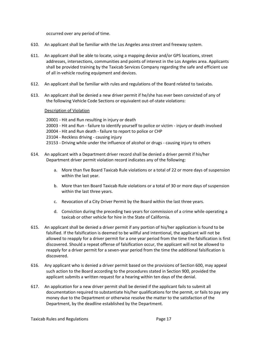occurred over any period of time.

- 610. An applicant shall be familiar with the Los Angeles area street and freeway system.
- 611. An applicant shall be able to locate, using a mapping device and/or GPS locations, street addresses, intersections, communities and points of interest in the Los Angeles area. Applicants shall be provided training by the Taxicab Services Company regarding the safe and efficient use of all in-vehicle routing equipment and devices.
- 612. An applicant shall be familiar with rules and regulations of the Board related to taxicabs.
- 613. An applicant shall be denied a new driver permit if he/she has ever been convicted of any of the following Vehicle Code Sections or equivalent out-of-state violations:

#### Description of Violation

- 20001 Hit and Run resulting in injury or death
- 20003 Hit and Run failure to identify yourself to police or victim injury or death involved
- 20004 Hit and Run death failure to report to police or CHP
- 23104 Reckless driving causing injury
- 23153 Driving while under the influence of alcohol or drugs causing injury to others
- 614. An applicant with a Department driver record shall be denied a driver permit if his/her Department driver permit violation record indicates any of the following:
	- a. More than five Board Taxicab Rule violations or a total of 22 or more days of suspension within the last year.
	- b. More than ten Board Taxicab Rule violations or a total of 30 or more days of suspension within the last three years.
	- c. Revocation of a City Driver Permit by the Board within the last three years.
	- d. Conviction during the preceding two years for commission of a crime while operating a taxicab or other vehicle for hire in the State of California.
- 615. An applicant shall be denied a driver permit if any portion of his/her application is found to be falsified. If the falsification is deemed to be willful and intentional, the applicant will not be allowed to reapply for a driver permit for a one year period from the time the falsification is first discovered. Should a repeat offense of falsification occur, the applicant will not be allowed to reapply for a driver permit for a seven-year period from the time the additional falsification is discovered.
- 616. Any applicant who is denied a driver permit based on the provisions of Section 600, may appeal such action to the Board according to the procedures stated in Section 900, provided the applicant submits a written request for a hearing within ten days of the denial.
- 617. An application for a new driver permit shall be denied if the applicant fails to submit all documentation required to substantiate his/her qualifications for the permit, or fails to pay any money due to the Department or otherwise resolve the matter to the satisfaction of the Department, by the deadline established by the Department.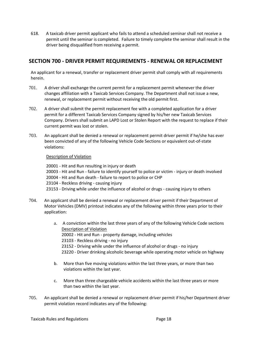618. A taxicab driver permit applicant who fails to attend a scheduled seminar shall not receive a permit until the seminar is completed. Failure to timely complete the seminar shall result in the driver being disqualified from receiving a permit.

## **SECTION 700 - DRIVER PERMIT REQUIREMENTS - RENEWAL OR REPLACEMENT**

An applicant for a renewal, transfer or replacement driver permit shall comply with all requirements herein.

- 701. A driver shall exchange the current permit for a replacement permit whenever the driver changes affiliation with a Taxicab Services Company. The Department shall not issue a new, renewal, or replacement permit without receiving the old permit first.
- 702. A driver shall submit the permit replacement fee with a completed application for a driver permit for a different Taxicab Services Company signed by his/her new Taxicab Services Company. Drivers shall submit an LAPD Lost or Stolen Report with the request to replace if their current permit was lost or stolen.
- 703. An applicant shall be denied a renewal or replacement permit driver permit if he/she has ever been convicted of any of the following Vehicle Code Sections or equivalent out-of-state violations:

#### Description of Violation

20001 - Hit and Run resulting in injury or death 20003 - Hit and Run - failure to identify yourself to police or victim - injury or death involved 20004 - Hit and Run death - failure to report to police or CHP 23104 - Reckless driving - causing injury 23153 - Driving while under the influence of alcohol or drugs - causing injury to others

- 704. An applicant shall be denied a renewal or replacement driver permit if their Department of Motor Vehicles (DMV) printout indicates any of the following within three years prior to their application:
	- a. A conviction within the last three years of any of the following Vehicle Code sections Description of Violation 20002 - Hit and Run - property damage, including vehicles 23103 - Reckless driving - no injury 23152 - Driving while under the influence of alcohol or drugs - no injury 23220 - Driver drinking alcoholic beverage while operating motor vehicle on highway
	- b. More than five moving violations within the last three years, or more than two violations within the last year.
	- c. More than three chargeable vehicle accidents within the last three years or more than two within the last year.
- 705. An applicant shall be denied a renewal or replacement driver permit if his/her Department driver permit violation record indicates any of the following: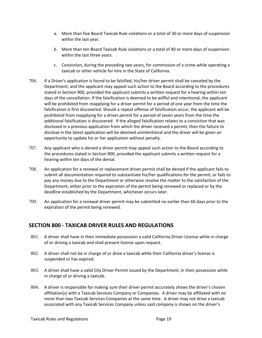- a. More than five Board Taxicab Rule violations or a total of 30 or more days of suspension within the last year.
- b. More than ten Board Taxicab Rule violations or a total of 40 or more days of suspension within the last three years.
- c. Conviction, during the preceding two years, for commission of a crime while operating a taxicab or other vehicle for hire in the State of California.
- 706. If a Driver's application is found to be falsified, his/her driver permit shall be canceled by the Department; and the applicant may appeal such action to the Board according to the procedures stated in Section 900, provided the applicant submits a written request for a hearing within ten days of the cancellation. If the falsification is deemed to be willful and intentional, the applicant will be prohibited from reapplying for a driver permit for a period of one year from the time the falsification is first discovered. Should a repeat offense of falsification occur, the applicant will be prohibited from reapplying for a driver permit for a period of seven years from the time the additional falsification is discovered. If the alleged falsification relates to a conviction that was disclosed in a previous application from which the driver received a permit, then the failure to disclose in the latest application will be deemed unintentional and the driver will be given an opportunity to update his or her application without penalty.
- 707. Any applicant who is denied a driver permit may appeal such action to the Board according to the procedures stated in Section 900, provided the applicant submits a written request for a hearing within ten days of the denial.
- 708. An application for a renewal or replacement driver permit shall be denied if the applicant fails to submit all documentation required to substantiate his/her qualifications for the permit, or fails to pay any money due to the Department or otherwise resolve the matter to the satisfaction of the Department, either prior to the expiration of the permit being renewed or replaced or by the deadline established by the Department, whichever occurs later.
- 709. An application for a renewal driver permit may be submitted no earlier than 60 days prior to the expiration of the permit being renewed.

## **SECTION 800 - TAXICAB DRIVER RULES AND REGULATIONS**

- 801. A driver shall have in their immediate possession a valid California Driver License while in charge of or driving a taxicab and shall present license upon request.
- 802. A driver shall not be in charge of or drive a taxicab while their California driver's license is suspended or has expired.
- 803. A driver shall have a valid City Driver Permit issued by the Department, in their possession while in charge of or driving a taxicab.
- 804. A driver is responsible for making sure their driver permit accurately shows the driver's chosen affiliation(s) with a Taxicab Services Company or Companies. A driver may be affiliated with no more than two Taxicab Services Companies at the same time. A driver may not drive a taxicab associated with any Taxicab Services Company unless said company is shown on the driver's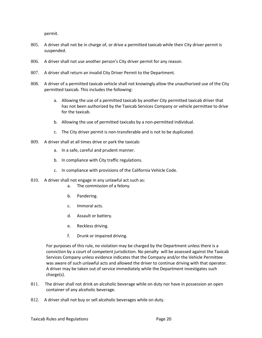permit.

- 805. A driver shall not be in charge of, or drive a permitted taxicab while their City driver permit is suspended.
- 806. A driver shall not use another person's City driver permit for any reason.
- 807. A driver shall return an invalid City Driver Permit to the Department.
- 808. A driver of a permitted taxicab vehicle shall not knowingly allow the unauthorized use of the City permitted taxicab. This includes the following:
	- a. Allowing the use of a permitted taxicab by another City permitted taxicab driver that has not been authorized by the Taxicab Services Company or vehicle permittee to drive for the taxicab.
	- b. Allowing the use of permitted taxicabs by a non-permitted individual.
	- c. The City driver permit is non-transferable and is not to be duplicated.
- 809. A driver shall at all times drive or park the taxicab:
	- a. In a safe, careful and prudent manner.
	- b. In compliance with City traffic regulations.
	- c. In compliance with provisions of the California Vehicle Code.
- 810. A driver shall not engage in any unlawful act such as:
	- a. The commission of a felony.
	- b. Pandering.
	- c. Immoral acts.
	- d. Assault or battery.
	- e. Reckless driving.
	- f. Drunk or impaired driving.

For purposes of this rule, no violation may be charged by the Department unless there is a conviction by a court of competent jurisdiction. No penalty will be assessed against the Taxicab Services Company unless evidence indicates that the Company and/or the Vehicle Permittee was aware of such unlawful acts and allowed the driver to continue driving with that operator. A driver may be taken out of service immediately while the Department investigates such charge(s).

- 811. The driver shall not drink an alcoholic beverage while on duty nor have in possession an open container of any alcoholic beverage.
- 812. A driver shall not buy or sell alcoholic beverages while on duty.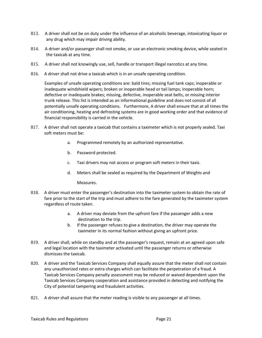- 813. A driver shall not be on duty under the influence of an alcoholic beverage, intoxicating liquor or any drug which may impair driving ability.
- 814. A driver and/or passenger shall not smoke, or use an electronic smoking device, while seated in the taxicab at any time.
- 815. A driver shall not knowingly use, sell, handle or transport illegal narcotics at any time.
- 816. A driver shall not drive a taxicab which is in an unsafe operating condition.

Examples of unsafe operating conditions are: bald tires; missing fuel tank caps; inoperable or inadequate windshield wipers; broken or inoperable head or tail lamps; inoperable horn; defective or inadequate brakes; missing, defective, inoperable seat belts, or missing interior trunk release. This list is intended as an informational guideline and does not consist of all potentially unsafe operating conditions. Furthermore, A driver shall ensure that at all times the air conditioning, heating and defrosting systems are in good working order and that evidence of financial responsibility is carried in the vehicle.

- 817. A driver shall not operate a taxicab that contains a taximeter which is not properly sealed. Taxi soft meters must be:
	- a. Programmed remotely by an authorized representative.
	- b. Password protected.
	- c. Taxi drivers may not access or program soft meters in their taxis.
	- d. Meters shall be sealed as required by the Department of Weights and

Measures.

- 818. A driver must enter the passenger's destination into the taximeter system to obtain the rate of fare prior to the start of the trip and must adhere to the fare generated by the taximeter system regardless of route taken.
	- a. A driver may deviate from the upfront fare if the passenger adds a new destination to the trip.
	- b. If the passenger refuses to give a destination, the driver may operate the taximeter in its normal fashion without giving an upfront price.
- 819. A driver shall, while on standby and at the passenger's request, remain at an agreed upon safe and legal location with the taximeter activated until the passenger returns or otherwise dismisses the taxicab.
- 820. A driver and the Taxicab Services Company shall equally assure that the meter shall not contain any unauthorized rates or extra charges which can facilitate the perpetration of a fraud. A Taxicab Services Company penalty assessment may be reduced or waived dependent upon the Taxicab Services Company cooperation and assistance provided in detecting and notifying the City of potential tampering and fraudulent activities.
- 821. A driver shall assure that the meter reading is visible to any passenger at all times.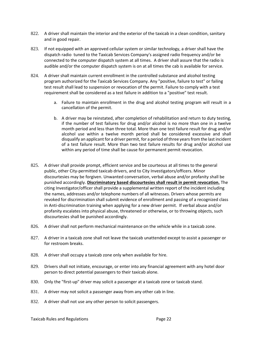- 822. A driver shall maintain the interior and the exterior of the taxicab in a clean condition, sanitary and in good repair.
- 823. If not equipped with an approved cellular system or similar technology, a driver shall have the dispatch radio tuned to the Taxicab Services Company's assigned radio frequency and/or be connected to the computer dispatch system at all times. A driver shall assure that the radio is audible and/or the computer dispatch system is on at all times the cab is available for service.
- 824. A driver shall maintain current enrollment in the controlled substance and alcohol testing program authorized for the Taxicab Services Company. Any "positive, failure to test" or failing test result shall lead to suspension or revocation of the permit. Failure to comply with a test requirement shall be considered as a test failure in addition to a "positive" test result.
	- a. Failure to maintain enrollment in the drug and alcohol testing program will result in a cancellation of the permit.
	- b. A driver may be reinstated, after completion of rehabilitation and return to duty testing, if the number of test failures for drug and/or alcohol is no more than one in a twelve month period and less than three total. More than one test failure result for drug and/or alcohol use within a twelve month period shall be considered excessive and shall disqualify an applicant for a driver permit, for a period of three years from the last incident of a test failure result. More than two test failure results for drug and/or alcohol use within any period of time shall be cause for permanent permit revocation.
- 825. A driver shall provide prompt, efficient service and be courteous at all times to the general public, other City-permitted taxicab drivers, and to City Investigators/officers. Minor discourtesies may be forgiven. Unwanted conversation, verbal abuse and/or profanity shall be punished accordingly. **Discriminatory based discourtesies shall result in permit revocation.** The citing Investigator/officer shall provide a supplemental written report of the incident including the names, addresses and/or telephone numbers of all witnesses. Drivers whose permits are revoked for discrimination shall submit evidence of enrollment and passing of a recognized class in Anti-discrimination training when applying for a new driver permit. If verbal abuse and/or profanity escalates into physical abuse, threatened or otherwise, or to throwing objects, such discourtesies shall be punished accordingly.
- 826. A driver shall not perform mechanical maintenance on the vehicle while in a taxicab zone.
- 827. A driver in a taxicab zone shall not leave the taxicab unattended except to assist a passenger or for restroom breaks.
- 828. A driver shall occupy a taxicab zone only when available for hire.
- 829. Drivers shall not initiate, encourage, or enter into any financial agreement with any hotel door person to direct potential passengers to their taxicab alone.
- 830. Only the "first-up" driver may solicit a passenger at a taxicab zone or taxicab stand.
- 831. A driver may not solicit a passenger away from any other cab in line.
- 832. A driver shall not use any other person to solicit passengers.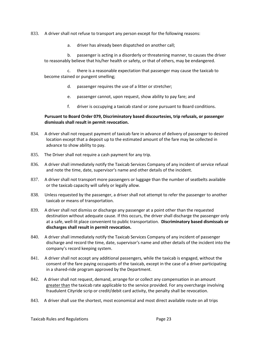833. A driver shall not refuse to transport any person except for the following reasons:

a. driver has already been dispatched on another call;

b. passenger is acting in a disorderly or threatening manner, to causes the driver to reasonably believe that his/her health or safety, or that of others, may be endangered.

c. there is a reasonable expectation that passenger may cause the taxicab to become stained or pungent smelling;

- d. passenger requires the use of a litter or stretcher;
- e. passenger cannot, upon request, show ability to pay fare; and
- f. driver is occupying a taxicab stand or zone pursuant to Board conditions.

#### **Pursuant to Board Order 079, Discriminatory based discourtesies, trip refusals, or passenger dismissals shall result in permit revocation.**

- 834. A driver shall not request payment of taxicab fare in advance of delivery of passenger to desired location except that a deposit up to the estimated amount of the fare may be collected in advance to show ability to pay.
- 835. The Driver shall not require a cash payment for any trip.
- 836. A driver shall immediately notify the Taxicab Services Company of any incident of service refusal and note the time, date, supervisor's name and other details of the incident.
- 837. A driver shall not transport more passengers or luggage than the number of seatbelts available or the taxicab capacity will safely or legally allow.
- 838. Unless requested by the passenger, a driver shall not attempt to refer the passenger to another taxicab or means of transportation.
- 839. A driver shall not dismiss or discharge any passenger at a point other than the requested destination without adequate cause. If this occurs, the driver shall discharge the passenger only at a safe, well-lit place convenient to public transportation. **Discriminatory based dismissals or discharges shall result in permit revocation.**
- 840. A driver shall immediately notify the Taxicab Services Company of any incident of passenger discharge and record the time, date, supervisor's name and other details of the incident into the company's record keeping system.
- 841. A driver shall not accept any additional passengers, while the taxicab is engaged, without the consent of the fare paying occupants of the taxicab, except in the case of a driver participating in a shared-ride program approved by the Department.
- 842. A driver shall not request, demand, arrange for or collect any compensation in an amount greater than the taxicab rate applicable to the service provided. For any overcharge involving fraudulent Cityride scrip or credit/debit card activity, the penalty shall be revocation.
- 843. A driver shall use the shortest, most economical and most direct available route on all trips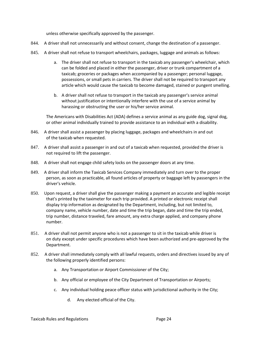unless otherwise specifically approved by the passenger.

- 844. A driver shall not unnecessarily and without consent, change the destination of a passenger.
- 845. A driver shall not refuse to transport wheelchairs, packages, luggage and animals as follows:
	- a. The driver shall not refuse to transport in the taxicab any passenger's wheelchair, which can be folded and placed in either the passenger, driver or trunk compartment of a taxicab; groceries or packages when accompanied by a passenger; personal luggage, possessions, or small pets in carriers. The driver shall not be required to transport any article which would cause the taxicab to become damaged, stained or pungent smelling.
	- b. A driver shall not refuse to transport in the taxicab any passenger's service animal without justification or intentionally interfere with the use of a service animal by harassing or obstructing the user or his/her service animal.

The Americans with Disabilities Act (ADA) defines a service animal as any guide dog, signal dog, or other animal individually trained to provide assistance to an individual with a disability.

- 846. A driver shall assist a passenger by placing luggage, packages and wheelchairs in and out of the taxicab when requested.
- 847. A driver shall assist a passenger in and out of a taxicab when requested, provided the driver is not required to lift the passenger.
- 848. A driver shall not engage child safety locks on the passenger doors at any time.
- 849. A driver shall inform the Taxicab Services Company immediately and turn over to the proper person, as soon as practicable, all found articles of property or baggage left by passengers in the driver's vehicle.
- 850. Upon request, a driver shall give the passenger making a payment an accurate and legible receipt that's printed by the taximeter for each trip provided. A printed or electronic receipt shall display trip information as designated by the Department, including, but not limited to, company name, vehicle number, date and time the trip began, date and time the trip ended, trip number, distance traveled, fare amount, any extra charge applied, and company phone number.
- 851. A driver shall not permit anyone who is not a passenger to sit in the taxicab while driver is on duty except under specific procedures which have been authorized and pre-approved by the Department.
- 852. A driver shall immediately comply with all lawful requests, orders and directives issued by any of the following properly identified persons:
	- a. Any Transportation or Airport Commissioner of the City;
	- b. Any official or employee of the City Department of Transportation or Airports;
	- c. Any individual holding peace officer status with jurisdictional authority in the City;
		- d. Any elected official of the City.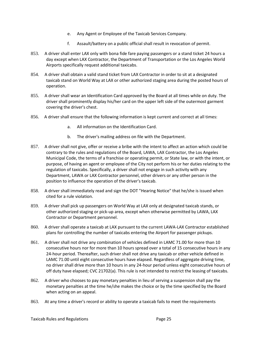- e. Any Agent or Employee of the Taxicab Services Company.
- f. Assault/battery on a public official shall result in revocation of permit.
- 853. A driver shall enter LAX only with bona fide fare paying passengers or a stand ticket 24 hours a day except when LAX Contractor, the Department of Transportation or the Los Angeles World Airports specifically request additional taxicabs.
- 854. A driver shall obtain a valid stand ticket from LAX Contractor in order to sit at a designated taxicab stand on World Way at LAX or other authorized staging area during the posted hours of operation.
- 855. A driver shall wear an Identification Card approved by the Board at all times while on duty. The driver shall prominently display his/her card on the upper left side of the outermost garment covering the driver's chest.
- 856. A driver shall ensure that the following information is kept current and correct at all times:
	- a. All information on the Identification Card.
	- b. The driver's mailing address on file with the Department.
- 857. A driver shall not give, offer or receive a bribe with the intent to affect an action which could be contrary to the rules and regulations of the Board, LAWA, LAX Contractor, the Los Angeles Municipal Code, the terms of a franchise or operating permit, or State law, or with the intent, or purpose, of having an agent or employee of the City not perform his or her duties relating to the regulation of taxicabs. Specifically, a driver shall not engage in such activity with any Department, LAWA or LAX Contractor personnel, other drivers or any other person in the position to influence the operation of the driver's taxicab.
- 858. A driver shall immediately read and sign the DOT "Hearing Notice" that he/she is issued when cited for a rule violation.
- 859. A driver shall pick up passengers on World Way at LAX only at designated taxicab stands, or other authorized staging or pick-up area, except when otherwise permitted by LAWA, LAX Contractor or Department personnel.
- 860. A driver shall operate a taxicab at LAX pursuant to the current LAWA-LAX Contractor established plans for controlling the number of taxicabs entering the Airport for passenger pickups.
- 861. A driver shall not drive any combination of vehicles defined in LAMC 71.00 for more than 10 consecutive hours nor for more than 10 hours spread over a total of 15 consecutive hours in any 24-hour period. Thereafter, such driver shall not drive any taxicab or other vehicle defined in LAMC 71.00 until eight consecutive hours have elapsed. Regardless of aggregate driving time, no driver shall drive more than 10 hours in any 24-hour period unless eight consecutive hours of off duty have elapsed; CVC 21702(a). This rule is not intended to restrict the leasing of taxicabs.
- 862. A driver who chooses to pay monetary penalties in lieu of serving a suspension shall pay the monetary penalties at the time he/she makes the choice or by the time specified by the Board when acting on an appeal.
- 863. At any time a driver's record or ability to operate a taxicab fails to meet the requirements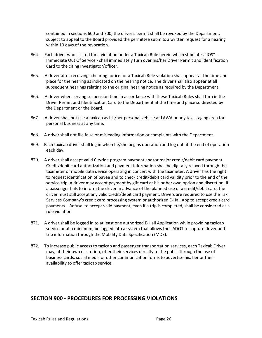contained in sections 600 and 700, the driver's permit shall be revoked by the Department, subject to appeal to the Board provided the permittee submits a written request for a hearing within 10 days of the revocation.

- 864. Each driver who is cited for a violation under a Taxicab Rule herein which stipulates "IOS" Immediate Out Of Service - shall immediately turn over his/her Driver Permit and Identification Card to the citing Investigator/officer.
- 865. A driver after receiving a hearing notice for a Taxicab Rule violation shall appear at the time and place for the hearing as indicated on the hearing notice. The driver shall also appear at all subsequent hearings relating to the original hearing notice as required by the Department.
- 866. A driver when serving suspension time in accordance with these Taxicab Rules shall turn in the Driver Permit and Identification Card to the Department at the time and place so directed by the Department or the Board.
- 867. A driver shall not use a taxicab as his/her personal vehicle at LAWA or any taxi staging area for personal business at any time.
- 868. A driver shall not file false or misleading information or complaints with the Department.
- 869. Each taxicab driver shall log in when he/she begins operation and log out at the end of operation each day.
- 870. A driver shall accept valid Cityride program payment and/or major credit/debit card payment. Credit/debit card authorization and payment information shall be digitally relayed through the taximeter or mobile data device operating in concert with the taximeter. A driver has the right to request identification of payee and to check credit/debit card validity prior to the end of the service trip. A driver may accept payment by gift card at his or her own option and discretion. If a passenger fails to inform the driver in advance of the planned use of a credit/debit card, the driver must still accept any valid credit/debit card payment. Drivers are required to use the Taxi Services Company's credit card processing system or authorized E-Hail App to accept credit card payments. Refusal to accept valid payment, even if a trip is completed, shall be considered as a rule violation.
- 871. A driver shall be logged in to at least one authorized E-Hail Application while providing taxicab service or at a minimum, be logged into a system that allows the LADOT to capture driver and trip information through the Mobility Data Specification (MDS).
- 872. To increase public access to taxicab and passenger transportation services, each Taxicab Driver may, at their own discretion, offer their services directly to the public through the use of business cards, social media or other communication forms to advertise his, her or their availability to offer taxicab service.

### **SECTION 900 - PROCEDURES FOR PROCESSING VIOLATIONS**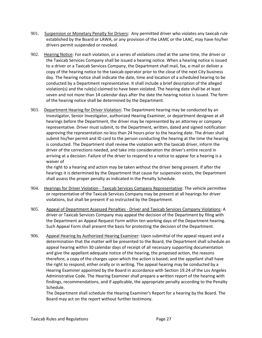- 901. Suspension or Monetary Penalty for Drivers: Any permitted driver who violates any taxicab rule established by the Board or LAWA, or any provision of the LAMC or the LAAC, may have his/her drivers permit suspended or revoked.
- 902. Hearing Notice: For each violation, or a series of violations cited at the same time, the driver or the Taxicab Services Company shall be issued a hearing notice. When a hearing notice is issued to a driver or a Taxicab Services Company, the Department shall mail, fax, e-mail or deliver a copy of the hearing notice to the taxicab operator prior to the close of the next City business day. The hearing notice shall indicate the date, time and location of a scheduled hearing to be conducted by a Department representative. It shall include a brief description of the alleged violation(s) and the rule(s) claimed to have been violated. The hearing date shall be at least seven and not more than 14 calendar days after the date the hearing notice is issued. The form of the hearing notice shall be determined by the Department.
- 903. Department Hearing for Driver Violation: The Department hearing may be conducted by an Investigator, Senior Investigator, authorized Hearing Examiner, or department designee at all hearings before the Department, the driver may be represented by an attorney or company representative. Driver must submit, to the Department, written, dated and signed notification approving the representation no less than 24 hours prior to the hearing date. The driver shall submit his/her permit and ID card to the person conducting the hearing at the time the hearing is conducted. The Department shall review the violation with the taxicab driver, inform the driver of the corrections needed, and take into consideration the driver's entire record in arriving at a decision. Failure of the driver to respond to a notice to appear for a hearing is a waiver of

the right to a hearing and action may be taken without the driver being present. If after the hearings it is determined by the Department that cause for suspension exists, the Department shall assess the proper penalty as indicated in the Penalty Schedule.

- 904. Hearings for Driver Violation Taxicab Services Company Representative: The vehicle permittee or representative of the Taxicab Services Company may be present at all hearings for driver violations, but shall be present if so instructed by the Department.
- 905. Appeal of Department Assessed Penalties Driver and Taxicab Services Company Violations: A driver or Taxicab Services Company may appeal the decision of the Department by filing with the Department an Appeal Request Form within ten working days of the Department hearing. Such Appeal Form shall present the basis for protesting the decision of the Department.
- 906. Appeal Hearing by Authorized Hearing Examiner: Upon submittal of the appeal request and a determination that the matter will be presented to the Board, the Department shall schedule an appeal hearing within 30 calendar days of receipt of all necessary supporting documentation and give the appellant adequate notice of the hearing, the proposed action, the reasons therefore, a copy of the charges upon which the action is based; and the appellant shall have the right to respond, either orally or in writing. The appeal hearing may be conducted by a Hearing Examiner appointed by the Board in accordance with Section 19.24 of the Los Angeles Administrative Code. The Hearing Examiner shall prepare a written report of the hearing with findings, recommendations, and if applicable, the appropriate penalty according to the Penalty Schedule.

The Department shall schedule the Hearing Examiner's Report for a hearing by the Board. The Board may act on the report without further testimony.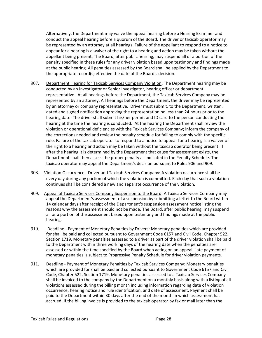Alternatively, the Department may waive the appeal hearing before a Hearing Examiner and conduct the appeal hearing before a quorum of the Board. The driver or taxicab operator may be represented by an attorney at all hearings. Failure of the appellant to respond to a notice to appear for a hearing is a waiver of the right to a hearing and action may be taken without the appellant being present. The Board, after public hearing, may suspend all or a portion of the penalty specified in these rules for any driver violation based upon testimony and findings made at the public hearing. All penalties assessed by the Board shall be applied by the Department to the appropriate record(s) effective the date of the Board's decision.

- 907. Department Hearing for Taxicab Services Company Violation: The Department hearing may be conducted by an Investigator or Senior Investigator, hearing officer or department representative. At all hearings before the Department, the Taxicab Services Company may be represented by an attorney. All hearings before the Department, the driver may be represented by an attorney or company representative. Driver must submit, to the Department, written, dated and signed notification approving the representation no less than 24 hours prior to the hearing date. The driver shall submit his/her permit and ID card to the person conducting the hearing at the time the hearing is conducted. At the hearing the Department shall review the violation or operational deficiencies with the Taxicab Services Company; inform the company of the corrections needed and review the penalty schedule for failing to comply with the specific rule. Failure of the taxicab operator to respond to a notice to appear for a hearing is a waiver of the right to a hearing and action may be taken without the taxicab operator being present. If after the hearing it is determined by the Department that cause for assessment exists, the Department shall then assess the proper penalty as indicated in the Penalty Schedule. The taxicab operator may appeal the Department's decision pursuant to Rules 906 and 909.
- 908. Violation Occurrence Driver and Taxicab Services Company: A violation occurrence shall be every day during any portion of which the violation is committed. Each day that such a violation continues shall be considered a new and separate occurrence of the violation.
- 909. Appeal of Taxicab Services Company Suspension to the Board: A Taxicab Services Company may appeal the Department's assessment of a suspension by submitting a letter to the Board within 14 calendar days after receipt of the Department's suspension assessment notice listing the reasons why the assessment should not be made. The Board, after public hearing, may suspend all or a portion of the assessment based upon testimony and findings made at the public hearing.
- 910. Deadline Payment of Monetary Penalties by Drivers: Monetary penalties which are provided for shall be paid and collected pursuant to Government Code 6157 and Civil Code, Chapter 522, Section 1719. Monetary penalties assessed to a driver as part of the driver violation shall be paid to the Department within three working days of the hearing date when the penalties are assessed or within the time specified by the Board when acting on an appeal. Late payment of monetary penalties is subject to Progressive Penalty Schedule for driver violation payments.
- 911. Deadline Payment of Monetary Penalties by Taxicab Services Company: Monetary penalties which are provided for shall be paid and collected pursuant to Government Code 6157 and Civil Code, Chapter 522, Section 1719. Monetary penalties assessed to a Taxicab Services Company shall be invoiced to the company by the Department on a monthly basis along with a listing of all violations assessed during the billing month including information regarding date of violation occurrence, hearing notice and rule identification, and date of assessment. Payment shall be paid to the Department within 30 days after the end of the month in which assessment has accrued. If the billing invoice is provided to the taxicab operator by fax or mail later than the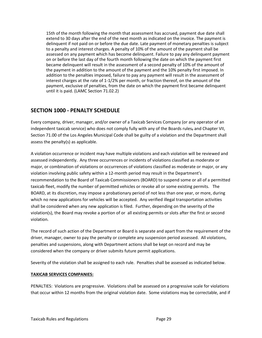15th of the month following the month that assessment has accrued, payment due date shall extend to 30 days after the end of the next month as indicated on the invoice. The payment is delinquent if not paid on or before the due date. Late payment of monetary penalties is subject to a penalty and interest charges. A penalty of 10% of the amount of the payment shall be assessed on any payment which has become delinquent. Failure to pay any delinquent payment on or before the last day of the fourth month following the date on which the payment first became delinquent will result in the assessment of a second penalty of 10% of the amount of the payment in addition to the amount of the payment and the 10% penalty first imposed. In addition to the penalties imposed, failure to pay any payment will result in the assessment of interest charges at the rate of 1-1/2% per month, or fraction thereof, on the amount of the payment, exclusive of penalties, from the date on which the payment first became delinquent until it is paid. (LAMC Section 71.02.2)

## **SECTION 1000 - PENALTY SCHEDULE**

Every company, driver, manager, and/or owner of a Taxicab Services Company (or any operator of an independent taxicab service) who does not comply fully with any of the Boards rules, and Chapter VII, Section 71.00 of the Los Angeles Municipal Code shall be guilty of a violation and the Department shall assess the penalty(s) as applicable.

A violation occurrence or incident may have multiple violations and each violation will be reviewed and assessed independently. Any three occurrences or incidents of violations classified as moderate or major, or combination of violations or occurrences of violations classified as moderate or major, or any violation involving public safety within a 12-month period may result in the Department's recommendation to the Board of Taxicab Commissioners (BOARD) to suspend some or all of a permitted taxicab fleet, modify the number of permitted vehicles or revoke all or some existing permits. The BOARD, at its discretion, may impose a probationary period of not less than one year, or more, during which no new applications for vehicles will be accepted. Any verified illegal transportation activities shall be considered when any new application is filed. Further, depending on the severity of the violation(s), the Board may revoke a portion of or all existing permits or slots after the first or second violation.

The record of such action of the Department or Board is separate and apart from the requirement of the driver, manager, owner to pay the penalty or complete any suspension period assessed. All violations, penalties and suspensions, along with Department actions shall be kept on record and may be considered when the company or driver submits future permit applications.

Severity of the violation shall be assigned to each rule. Penalties shall be assessed as indicated below.

#### **TAXICAB SERVICES COMPANIES:**

PENALTIES: Violations are progressive. Violations shall be assessed on a progressive scale for violations that occur within 12 months from the original violation date. Some violations may be correctable, and if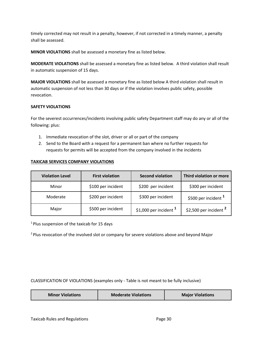timely corrected may not result in a penalty, however, if not corrected in a timely manner, a penalty shall be assessed.

**MINOR VIOLATIONS** shall be assessed a monetary fine as listed below.

**MODERATE VIOLATIONS** shall be assessed a monetary fine as listed below. A third violation shall result in automatic suspension of 15 days.

**MAJOR VIOLATIONS** shall be assessed a monetary fine as listed below A third violation shall result in automatic suspension of not less than 30 days or if the violation involves public safety, possible revocation.

#### **SAFETY VIOLATIONS**

For the severest occurrences/incidents involving public safety Department staff may do any or all of the following: plus:

- 1. Immediate revocation of the slot, driver or all or part of the company
- 2. Send to the Board with a request for a permanent ban where no further requests for requests for permits will be accepted from the company involved in the incidents

#### **TAXICAB SERVICES COMPANY VIOLATIONS**

| <b>Violation Level</b> | <b>First violation</b> | <b>Second violation</b>  | Third violation or more  |
|------------------------|------------------------|--------------------------|--------------------------|
| Minor                  | \$100 per incident     | \$200 per incident       | \$300 per incident       |
| Moderate               | \$200 per incident     | \$300 per incident       | \$500 per incident $1$   |
| Major                  | \$500 per incident     | \$1,000 per incident $1$ | \$2,500 per incident $2$ |

<sup>1</sup>Plus suspension of the taxicab for 15 days

<sup>2</sup> Plus revocation of the involved slot or company for severe violations above and beyond Major

CLASSIFICATION OF VIOLATIONS (examples only - Table is not meant to be fully inclusive)

| <b>Minor Violations</b> | <b>Moderate Violations</b> | <b>Major Violations</b> |
|-------------------------|----------------------------|-------------------------|
|-------------------------|----------------------------|-------------------------|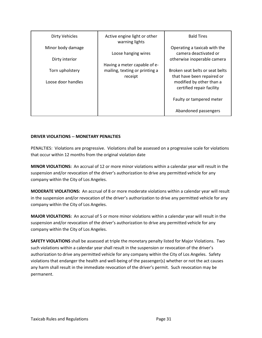| <b>Dirty Vehicles</b> | Active engine light or other<br>warning lights | <b>Bald Tires</b>                                             |
|-----------------------|------------------------------------------------|---------------------------------------------------------------|
| Minor body damage     | Loose hanging wires                            | Operating a taxicab with the<br>camera deactivated or         |
| Dirty interior        |                                                | otherwise inoperable camera                                   |
|                       | Having a meter capable of e-                   |                                                               |
| Torn upholstery       | mailing, texting or printing a<br>receipt      | Broken seat belts or seat belts<br>that have been repaired or |
| Loose door handles    |                                                | modified by other than a<br>certified repair facility         |
|                       |                                                | Faulty or tampered meter                                      |
|                       |                                                | Abandoned passengers                                          |

#### **DRIVER VIOLATIONS -- MONETARY PENALTIES**

PENALTIES: Violations are progressive. Violations shall be assessed on a progressive scale for violations that occur within 12 months from the original violation date

**MINOR VIOLATIONS:** An accrual of 12 or more minor violations within a calendar year will result in the suspension and/or revocation of the driver's authorization to drive any permitted vehicle for any company within the City of Los Angeles.

**MODERATE VIOLATIONS:** An accrual of 8 or more moderate violations within a calendar year will result in the suspension and/or revocation of the driver's authorization to drive any permitted vehicle for any company within the City of Los Angeles.

**MAJOR VIOLATIONS:** An accrual of 5 or more minor violations within a calendar year will result in the suspension and/or revocation of the driver's authorization to drive any permitted vehicle for any company within the City of Los Angeles.

**SAFETY VIOLATIONS** shall be assessed at triple the monetary penalty listed for Major Violations. Two such violations within a calendar year shall result in the suspension or revocation of the driver's authorization to drive any permitted vehicle for any company within the City of Los Angeles. Safety violations that endanger the health and well-being of the passenger(s) whether or not the act causes any harm shall result in the immediate revocation of the driver's permit. Such revocation may be permanent.